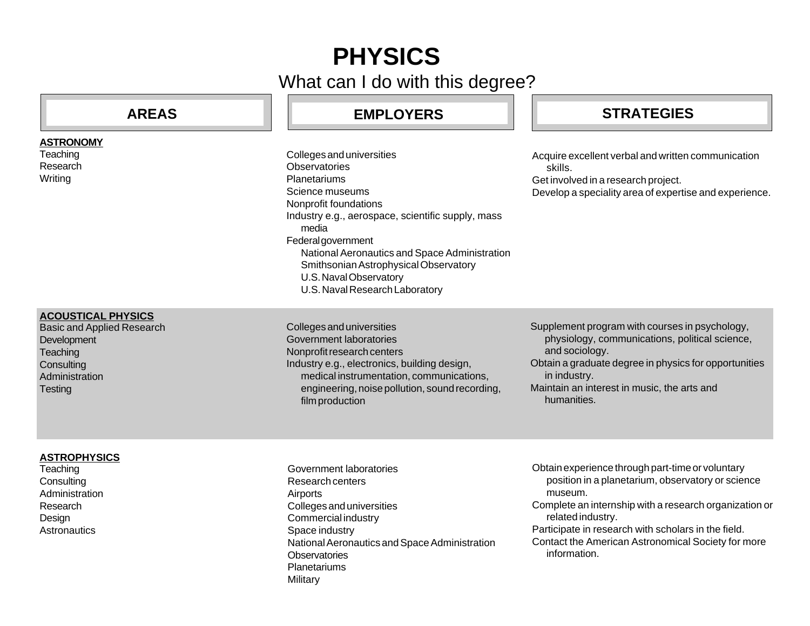# **PHYSICS**

What can I do with this degree?

| <b>AREAS</b> |  |  |
|--------------|--|--|
|              |  |  |

# **AREAS EMPLOYERS STRATEGIES**

Colleges and universities **Observatories Planetariums** Science museums Nonprofit foundations Industry e.g., aerospace, scientific supply, mass media Federal government National Aeronautics and Space Administration Smithsonian Astrophysical Observatory U.S. Naval Observatory U.S. Naval Research Laboratory

Acquire excellent verbal and written communication skills. Get involved in a research project.

Develop a speciality area of expertise and experience.

#### **ACOUSTICAL PHYSICS**

**ASTRONOMY Teaching** Research **Writing** 

Basic and Applied Research **Development Teaching Consulting** Administration **Testing** 

Colleges and universities Government laboratories Nonprofit research centers Industry e.g., electronics, building design, medical instrumentation, communications, engineering, noise pollution, sound recording, film production

Supplement program with courses in psychology, physiology, communications, political science, and sociology.

Obtain a graduate degree in physics for opportunities in industry.

Maintain an interest in music, the arts and humanities.

## **ASTROPHYSICS**

**Teaching Consulting Administration** Research Design **Astronautics** 

- Government laboratories Research centers Airports Colleges and universities Commercial industry Space industry National Aeronautics and Space Administration **Observatories** Planetariums **Military**
- Obtain experience through part-time or voluntary position in a planetarium, observatory or science museum. Complete an internship with a research organization or related industry. Participate in research with scholars in the field.
- Contact the American Astronomical Society for more information.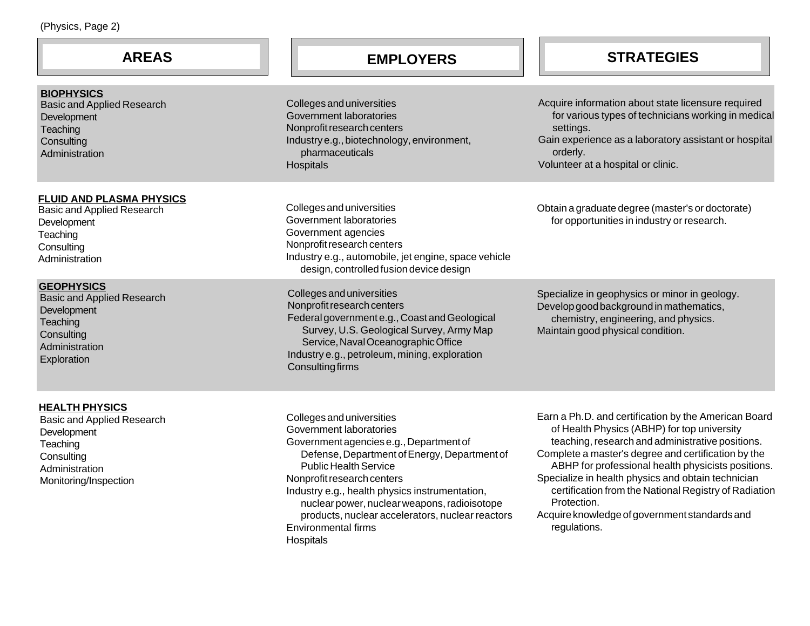| (Physics, Page 2)                                                                                                                       |                                                                                                                                                                                                                                                                                                                                                                                                                |                                                                                                                                                                                                                                                                                                                                                                                                                                                                     |
|-----------------------------------------------------------------------------------------------------------------------------------------|----------------------------------------------------------------------------------------------------------------------------------------------------------------------------------------------------------------------------------------------------------------------------------------------------------------------------------------------------------------------------------------------------------------|---------------------------------------------------------------------------------------------------------------------------------------------------------------------------------------------------------------------------------------------------------------------------------------------------------------------------------------------------------------------------------------------------------------------------------------------------------------------|
| <b>AREAS</b>                                                                                                                            | <b>EMPLOYERS</b>                                                                                                                                                                                                                                                                                                                                                                                               | <b>STRATEGIES</b>                                                                                                                                                                                                                                                                                                                                                                                                                                                   |
| <b>BIOPHYSICS</b><br><b>Basic and Applied Research</b><br>Development<br>Teaching<br>Consulting<br>Administration                       | Colleges and universities<br>Government laboratories<br>Nonprofit research centers<br>Industry e.g., biotechnology, environment,<br>pharmaceuticals<br>Hospitals                                                                                                                                                                                                                                               | Acquire information about state licensure required<br>for various types of technicians working in medical<br>settings.<br>Gain experience as a laboratory assistant or hospital<br>orderly.<br>Volunteer at a hospital or clinic.                                                                                                                                                                                                                                   |
| <b>FLUID AND PLASMA PHYSICS</b><br>Basic and Applied Research<br>Development<br>Teaching<br>Consulting<br>Administration                | Colleges and universities<br>Government laboratories<br>Government agencies<br>Nonprofit research centers<br>Industry e.g., automobile, jet engine, space vehicle<br>design, controlled fusion device design                                                                                                                                                                                                   | Obtain a graduate degree (master's or doctorate)<br>for opportunities in industry or research.                                                                                                                                                                                                                                                                                                                                                                      |
| <b>GEOPHYSICS</b><br><b>Basic and Applied Research</b><br>Development<br>Teaching<br>Consulting<br>Administration<br>Exploration        | Colleges and universities<br>Nonprofit research centers<br>Federal government e.g., Coast and Geological<br>Survey, U.S. Geological Survey, Army Map<br>Service, Naval Oceanographic Office<br>Industry e.g., petroleum, mining, exploration<br>Consulting firms                                                                                                                                               | Specialize in geophysics or minor in geology.<br>Develop good background in mathematics,<br>chemistry, engineering, and physics.<br>Maintain good physical condition.                                                                                                                                                                                                                                                                                               |
| <b>HEALTH PHYSICS</b><br>Basic and Applied Research<br>Development<br>Teaching<br>Consulting<br>Administration<br>Monitoring/Inspection | Colleges and universities<br>Government laboratories<br>Government agencies e.g., Department of<br>Defense, Department of Energy, Department of<br><b>Public Health Service</b><br>Nonprofit research centers<br>Industry e.g., health physics instrumentation,<br>nuclear power, nuclear weapons, radioisotope<br>products, nuclear accelerators, nuclear reactors<br><b>Environmental firms</b><br>Hospitals | Earn a Ph.D. and certification by the American Board<br>of Health Physics (ABHP) for top university<br>teaching, research and administrative positions.<br>Complete a master's degree and certification by the<br>ABHP for professional health physicists positions.<br>Specialize in health physics and obtain technician<br>certification from the National Registry of Radiation<br>Protection.<br>Acquire knowledge of government standards and<br>regulations. |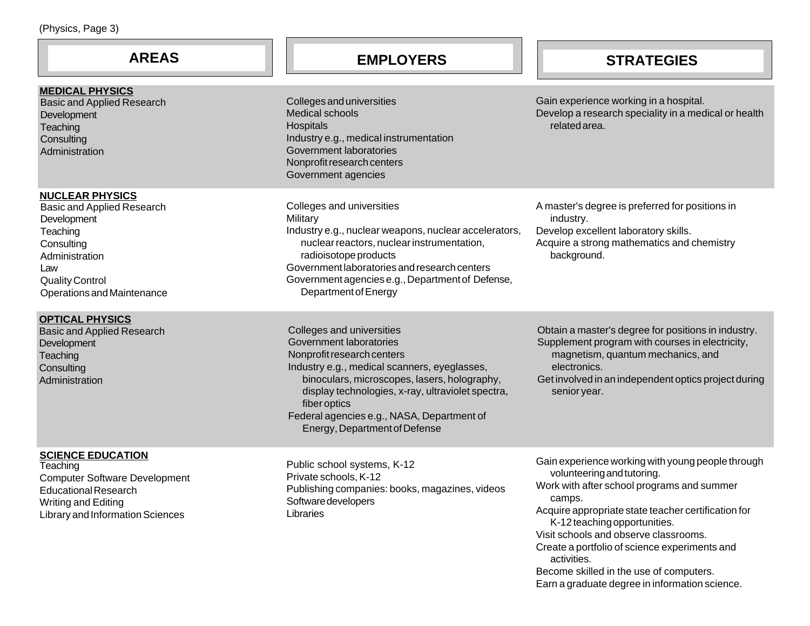| (Physics, Page 3)                                                                                                                                                                     |                                                                                                                                                                                                                                                                                                                                        |                                                                                                                                                                                                                                                                                                                                                                                                                                      |
|---------------------------------------------------------------------------------------------------------------------------------------------------------------------------------------|----------------------------------------------------------------------------------------------------------------------------------------------------------------------------------------------------------------------------------------------------------------------------------------------------------------------------------------|--------------------------------------------------------------------------------------------------------------------------------------------------------------------------------------------------------------------------------------------------------------------------------------------------------------------------------------------------------------------------------------------------------------------------------------|
| <b>AREAS</b>                                                                                                                                                                          | <b>EMPLOYERS</b>                                                                                                                                                                                                                                                                                                                       | <b>STRATEGIES</b>                                                                                                                                                                                                                                                                                                                                                                                                                    |
| <b>MEDICAL PHYSICS</b><br><b>Basic and Applied Research</b><br>Development<br>Teaching<br>Consulting<br>Administration                                                                | Colleges and universities<br><b>Medical schools</b><br>Hospitals<br>Industry e.g., medical instrumentation<br>Government laboratories<br>Nonprofit research centers<br>Government agencies                                                                                                                                             | Gain experience working in a hospital.<br>Develop a research speciality in a medical or health<br>related area.                                                                                                                                                                                                                                                                                                                      |
| <b>NUCLEAR PHYSICS</b><br><b>Basic and Applied Research</b><br>Development<br>Teaching<br>Consulting<br>Administration<br>Law<br><b>Quality Control</b><br>Operations and Maintenance | Colleges and universities<br>Military<br>Industry e.g., nuclear weapons, nuclear accelerators,<br>nuclear reactors, nuclear instrumentation,<br>radioisotope products<br>Government laboratories and research centers<br>Government agencies e.g., Department of Defense,<br>Department of Energy                                      | A master's degree is preferred for positions in<br>industry.<br>Develop excellent laboratory skills.<br>Acquire a strong mathematics and chemistry<br>background.                                                                                                                                                                                                                                                                    |
| <b>OPTICAL PHYSICS</b><br><b>Basic and Applied Research</b><br>Development<br>Teaching<br>Consulting<br>Administration                                                                | Colleges and universities<br>Government laboratories<br>Nonprofit research centers<br>Industry e.g., medical scanners, eyeglasses,<br>binoculars, microscopes, lasers, holography,<br>display technologies, x-ray, ultraviolet spectra,<br>fiber optics<br>Federal agencies e.g., NASA, Department of<br>Energy, Department of Defense | Obtain a master's degree for positions in industry.<br>Supplement program with courses in electricity,<br>magnetism, quantum mechanics, and<br>electronics.<br>Get involved in an independent optics project during<br>senior year.                                                                                                                                                                                                  |
| <b>SCIENCE EDUCATION</b><br>Teaching<br><b>Computer Software Development</b><br><b>Educational Research</b><br>Writing and Editing<br>Library and Information Sciences                | Public school systems, K-12<br>Private schools, K-12<br>Publishing companies: books, magazines, videos<br>Software developers<br>Libraries                                                                                                                                                                                             | Gain experience working with young people through<br>volunteering and tutoring.<br>Work with after school programs and summer<br>camps.<br>Acquire appropriate state teacher certification for<br>K-12 teaching opportunities.<br>Visit schools and observe classrooms.<br>Create a portfolio of science experiments and<br>activities.<br>Become skilled in the use of computers.<br>Earn a graduate degree in information science. |